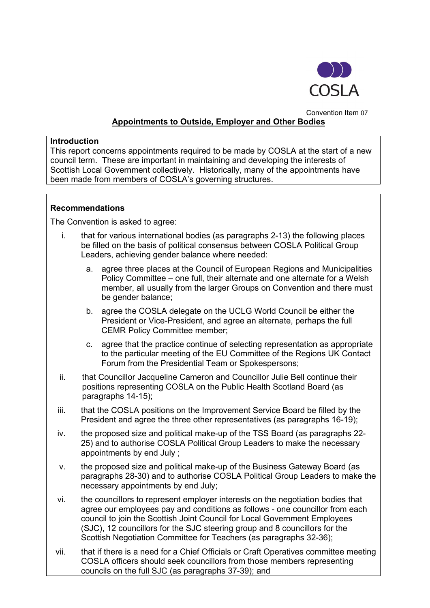

# Convention Item 07 **Appointments to Outside, Employer and Other Bodies**

#### **Introduction**

This report concerns appointments required to be made by COSLA at the start of a new council term. These are important in maintaining and developing the interests of Scottish Local Government collectively. Historically, many of the appointments have been made from members of COSLA's governing structures.

#### **Recommendations**

The Convention is asked to agree:

- i. that for various international bodies (as paragraphs 2-13) the following places be filled on the basis of political consensus between COSLA Political Group Leaders, achieving gender balance where needed:
	- a. agree three places at the Council of European Regions and Municipalities Policy Committee – one full, their alternate and one alternate for a Welsh member, all usually from the larger Groups on Convention and there must be gender balance;
	- b. agree the COSLA delegate on the UCLG World Council be either the President or Vice-President, and agree an alternate, perhaps the full CEMR Policy Committee member;
	- c. agree that the practice continue of selecting representation as appropriate to the particular meeting of the EU Committee of the Regions UK Contact Forum from the Presidential Team or Spokespersons;
- ii. that Councillor Jacqueline Cameron and Councillor Julie Bell continue their positions representing COSLA on the Public Health Scotland Board (as paragraphs 14-15);
- iii. that the COSLA positions on the Improvement Service Board be filled by the President and agree the three other representatives (as paragraphs 16-19);
- iv. the proposed size and political make-up of the TSS Board (as paragraphs 22- 25) and to authorise COSLA Political Group Leaders to make the necessary appointments by end July ;
- v. the proposed size and political make-up of the Business Gateway Board (as paragraphs 28-30) and to authorise COSLA Political Group Leaders to make the necessary appointments by end July;
- vi. the councillors to represent employer interests on the negotiation bodies that agree our employees pay and conditions as follows - one councillor from each council to join the Scottish Joint Council for Local Government Employees (SJC), 12 councillors for the SJC steering group and 8 councillors for the Scottish Negotiation Committee for Teachers (as paragraphs 32-36);
- vii. that if there is a need for a Chief Officials or Craft Operatives committee meeting COSLA officers should seek councillors from those members representing councils on the full SJC (as paragraphs 37-39); and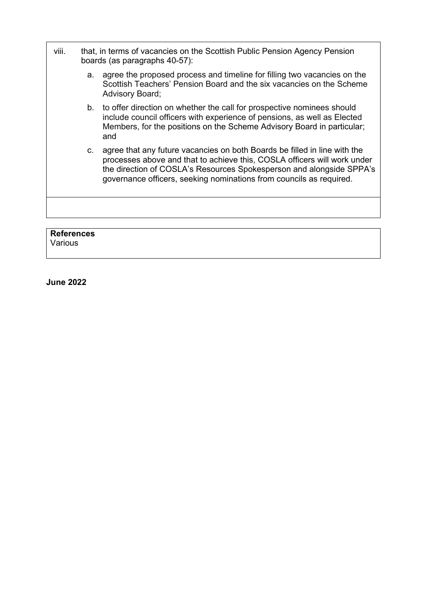| viii.             |    | that, in terms of vacancies on the Scottish Public Pension Agency Pension<br>boards (as paragraphs 40-57):                                                                                                                                                                                           |  |
|-------------------|----|------------------------------------------------------------------------------------------------------------------------------------------------------------------------------------------------------------------------------------------------------------------------------------------------------|--|
|                   | a. | agree the proposed process and timeline for filling two vacancies on the<br>Scottish Teachers' Pension Board and the six vacancies on the Scheme<br><b>Advisory Board;</b>                                                                                                                           |  |
|                   |    | b. to offer direction on whether the call for prospective nominees should<br>include council officers with experience of pensions, as well as Elected<br>Members, for the positions on the Scheme Advisory Board in particular;<br>and                                                               |  |
|                   | C. | agree that any future vacancies on both Boards be filled in line with the<br>processes above and that to achieve this, COSLA officers will work under<br>the direction of COSLA's Resources Spokesperson and alongside SPPA's<br>governance officers, seeking nominations from councils as required. |  |
|                   |    |                                                                                                                                                                                                                                                                                                      |  |
|                   |    |                                                                                                                                                                                                                                                                                                      |  |
| <b>References</b> |    |                                                                                                                                                                                                                                                                                                      |  |

Various

**June 2022**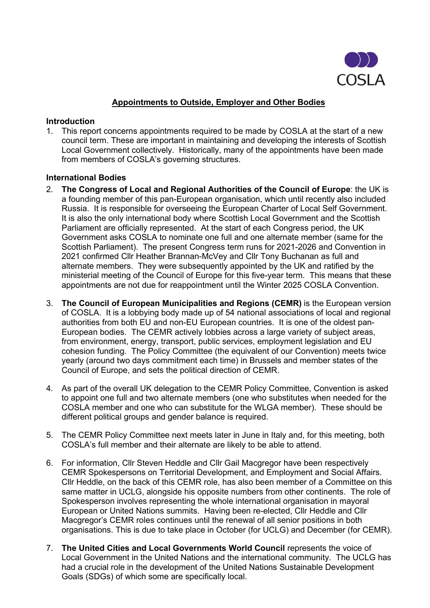

#### **Appointments to Outside, Employer and Other Bodies**

#### **Introduction**

1. This report concerns appointments required to be made by COSLA at the start of a new council term. These are important in maintaining and developing the interests of Scottish Local Government collectively. Historically, many of the appointments have been made from members of COSLA's governing structures.

#### **International Bodies**

- 2. **The Congress of Local and Regional Authorities of the Council of Europe**: the UK is a founding member of this pan-European organisation, which until recently also included Russia. It is responsible for overseeing the European Charter of Local Self Government. It is also the only international body where Scottish Local Government and the Scottish Parliament are officially represented. At the start of each Congress period, the UK Government asks COSLA to nominate one full and one alternate member (same for the Scottish Parliament). The present Congress term runs for 2021-2026 and Convention in 2021 confirmed Cllr Heather Brannan-McVey and Cllr Tony Buchanan as full and alternate members. They were subsequently appointed by the UK and ratified by the ministerial meeting of the Council of Europe for this five-year term. This means that these appointments are not due for reappointment until the Winter 2025 COSLA Convention.
- 3. **The Council of European Municipalities and Regions (CEMR)** is the European version of COSLA. It is a lobbying body made up of 54 national associations of local and regional authorities from both EU and non-EU European countries. It is one of the oldest pan-European bodies. The CEMR actively lobbies across a large variety of subject areas, from environment, energy, transport, public services, employment legislation and EU cohesion funding. The Policy Committee (the equivalent of our Convention) meets twice yearly (around two days commitment each time) in Brussels and member states of the Council of Europe, and sets the political direction of CEMR.
- 4. As part of the overall UK delegation to the CEMR Policy Committee, Convention is asked to appoint one full and two alternate members (one who substitutes when needed for the COSLA member and one who can substitute for the WLGA member). These should be different political groups and gender balance is required.
- 5. The CEMR Policy Committee next meets later in June in Italy and, for this meeting, both COSLA's full member and their alternate are likely to be able to attend.
- 6. For information, Cllr Steven Heddle and Cllr Gail Macgregor have been respectively CEMR Spokespersons on Territorial Development, and Employment and Social Affairs. Cllr Heddle, on the back of this CEMR role, has also been member of a Committee on this same matter in UCLG, alongside his opposite numbers from other continents. The role of Spokesperson involves representing the whole international organisation in mayoral European or United Nations summits. Having been re-elected, Cllr Heddle and Cllr Macgregor's CEMR roles continues until the renewal of all senior positions in both organisations. This is due to take place in October (for UCLG) and December (for CEMR).
- 7. **The United Cities and Local Governments World Council** represents the voice of Local Government in the United Nations and the international community. The UCLG has had a crucial role in the development of the United Nations Sustainable Development Goals (SDGs) of which some are specifically local.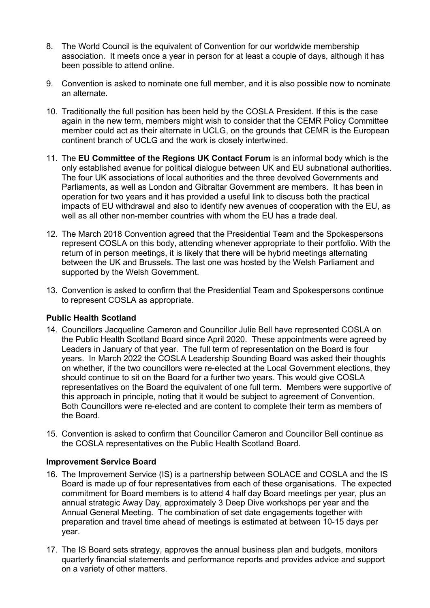- 8. The World Council is the equivalent of Convention for our worldwide membership association. It meets once a year in person for at least a couple of days, although it has been possible to attend online.
- 9. Convention is asked to nominate one full member, and it is also possible now to nominate an alternate.
- 10. Traditionally the full position has been held by the COSLA President. If this is the case again in the new term, members might wish to consider that the CEMR Policy Committee member could act as their alternate in UCLG, on the grounds that CEMR is the European continent branch of UCLG and the work is closely intertwined.
- 11. The **EU Committee of the Regions UK Contact Forum** is an informal body which is the only established avenue for political dialogue between UK and EU subnational authorities. The four UK associations of local authorities and the three devolved Governments and Parliaments, as well as London and Gibraltar Government are members. It has been in operation for two years and it has provided a useful link to discuss both the practical impacts of EU withdrawal and also to identify new avenues of cooperation with the EU, as well as all other non-member countries with whom the EU has a trade deal.
- 12. The March 2018 Convention agreed that the Presidential Team and the Spokespersons represent COSLA on this body, attending whenever appropriate to their portfolio. With the return of in person meetings, it is likely that there will be hybrid meetings alternating between the UK and Brussels. The last one was hosted by the Welsh Parliament and supported by the Welsh Government.
- 13. Convention is asked to confirm that the Presidential Team and Spokespersons continue to represent COSLA as appropriate.

### **Public Health Scotland**

- 14. Councillors Jacqueline Cameron and Councillor Julie Bell have represented COSLA on the Public Health Scotland Board since April 2020. These appointments were agreed by Leaders in January of that year. The full term of representation on the Board is four years. In March 2022 the COSLA Leadership Sounding Board was asked their thoughts on whether, if the two councillors were re-elected at the Local Government elections, they should continue to sit on the Board for a further two years. This would give COSLA representatives on the Board the equivalent of one full term. Members were supportive of this approach in principle, noting that it would be subject to agreement of Convention. Both Councillors were re-elected and are content to complete their term as members of the Board.
- 15. Convention is asked to confirm that Councillor Cameron and Councillor Bell continue as the COSLA representatives on the Public Health Scotland Board.

#### **Improvement Service Board**

- 16. The Improvement Service (IS) is a partnership between SOLACE and COSLA and the IS Board is made up of four representatives from each of these organisations. The expected commitment for Board members is to attend 4 half day Board meetings per year, plus an annual strategic Away Day, approximately 3 Deep Dive workshops per year and the Annual General Meeting. The combination of set date engagements together with preparation and travel time ahead of meetings is estimated at between 10-15 days per year.
- 17. The IS Board sets strategy, approves the annual business plan and budgets, monitors quarterly financial statements and performance reports and provides advice and support on a variety of other matters.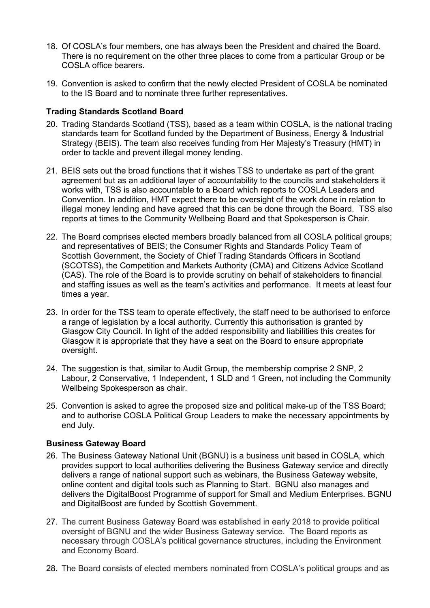- 18. Of COSLA's four members, one has always been the President and chaired the Board. There is no requirement on the other three places to come from a particular Group or be COSLA office bearers.
- 19. Convention is asked to confirm that the newly elected President of COSLA be nominated to the IS Board and to nominate three further representatives.

#### **Trading Standards Scotland Board**

- 20. Trading Standards Scotland (TSS), based as a team within COSLA, is the national trading standards team for Scotland funded by the Department of Business, Energy & Industrial Strategy (BEIS). The team also receives funding from Her Majesty's Treasury (HMT) in order to tackle and prevent illegal money lending.
- 21. BEIS sets out the broad functions that it wishes TSS to undertake as part of the grant agreement but as an additional layer of accountability to the councils and stakeholders it works with, TSS is also accountable to a Board which reports to COSLA Leaders and Convention. In addition, HMT expect there to be oversight of the work done in relation to illegal money lending and have agreed that this can be done through the Board. TSS also reports at times to the Community Wellbeing Board and that Spokesperson is Chair.
- 22. The Board comprises elected members broadly balanced from all COSLA political groups; and representatives of BEIS; the Consumer Rights and Standards Policy Team of Scottish Government, the Society of Chief Trading Standards Officers in Scotland (SCOTSS), the Competition and Markets Authority (CMA) and Citizens Advice Scotland (CAS). The role of the Board is to provide scrutiny on behalf of stakeholders to financial and staffing issues as well as the team's activities and performance. It meets at least four times a year.
- 23. In order for the TSS team to operate effectively, the staff need to be authorised to enforce a range of legislation by a local authority. Currently this authorisation is granted by Glasgow City Council. In light of the added responsibility and liabilities this creates for Glasgow it is appropriate that they have a seat on the Board to ensure appropriate oversight.
- 24. The suggestion is that, similar to Audit Group, the membership comprise 2 SNP, 2 Labour, 2 Conservative, 1 Independent, 1 SLD and 1 Green, not including the Community Wellbeing Spokesperson as chair.
- 25. Convention is asked to agree the proposed size and political make-up of the TSS Board; and to authorise COSLA Political Group Leaders to make the necessary appointments by end July.

#### **Business Gateway Board**

- 26. The Business Gateway National Unit (BGNU) is a business unit based in COSLA, which provides support to local authorities delivering the Business Gateway service and directly delivers a range of national support such as webinars, the Business Gateway website, online content and digital tools such as Planning to Start. BGNU also manages and delivers the DigitalBoost Programme of support for Small and Medium Enterprises. BGNU and DigitalBoost are funded by Scottish Government.
- 27. The current Business Gateway Board was established in early 2018 to provide political oversight of BGNU and the wider Business Gateway service. The Board reports as necessary through COSLA's political governance structures, including the Environment and Economy Board.
- 28. The Board consists of elected members nominated from COSLA's political groups and as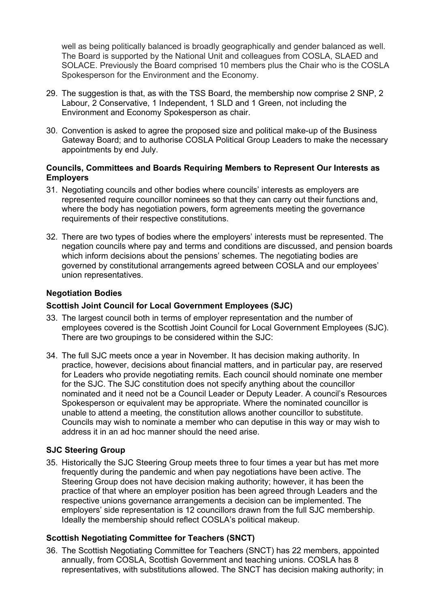well as being politically balanced is broadly geographically and gender balanced as well. The Board is supported by the National Unit and colleagues from COSLA, SLAED and SOLACE. Previously the Board comprised 10 members plus the Chair who is the COSLA Spokesperson for the Environment and the Economy.

- 29. The suggestion is that, as with the TSS Board, the membership now comprise 2 SNP, 2 Labour, 2 Conservative, 1 Independent, 1 SLD and 1 Green, not including the Environment and Economy Spokesperson as chair.
- 30. Convention is asked to agree the proposed size and political make-up of the Business Gateway Board; and to authorise COSLA Political Group Leaders to make the necessary appointments by end July.

### **Councils, Committees and Boards Requiring Members to Represent Our Interests as Employers**

- 31. Negotiating councils and other bodies where councils' interests as employers are represented require councillor nominees so that they can carry out their functions and, where the body has negotiation powers, form agreements meeting the governance requirements of their respective constitutions.
- 32. There are two types of bodies where the employers' interests must be represented. The negation councils where pay and terms and conditions are discussed, and pension boards which inform decisions about the pensions' schemes. The negotiating bodies are governed by constitutional arrangements agreed between COSLA and our employees' union representatives.

### **Negotiation Bodies**

### **Scottish Joint Council for Local Government Employees (SJC)**

- 33. The largest council both in terms of employer representation and the number of employees covered is the Scottish Joint Council for Local Government Employees (SJC). There are two groupings to be considered within the SJC:
- 34. The full SJC meets once a year in November. It has decision making authority. In practice, however, decisions about financial matters, and in particular pay, are reserved for Leaders who provide negotiating remits. Each council should nominate one member for the SJC. The SJC constitution does not specify anything about the councillor nominated and it need not be a Council Leader or Deputy Leader. A council's Resources Spokesperson or equivalent may be appropriate. Where the nominated councillor is unable to attend a meeting, the constitution allows another councillor to substitute. Councils may wish to nominate a member who can deputise in this way or may wish to address it in an ad hoc manner should the need arise.

### **SJC Steering Group**

35. Historically the SJC Steering Group meets three to four times a year but has met more frequently during the pandemic and when pay negotiations have been active. The Steering Group does not have decision making authority; however, it has been the practice of that where an employer position has been agreed through Leaders and the respective unions governance arrangements a decision can be implemented. The employers' side representation is 12 councillors drawn from the full SJC membership. Ideally the membership should reflect COSLA's political makeup.

### **Scottish Negotiating Committee for Teachers (SNCT)**

36. The Scottish Negotiating Committee for Teachers (SNCT) has 22 members, appointed annually, from COSLA, Scottish Government and teaching unions. COSLA has 8 representatives, with substitutions allowed. The SNCT has decision making authority; in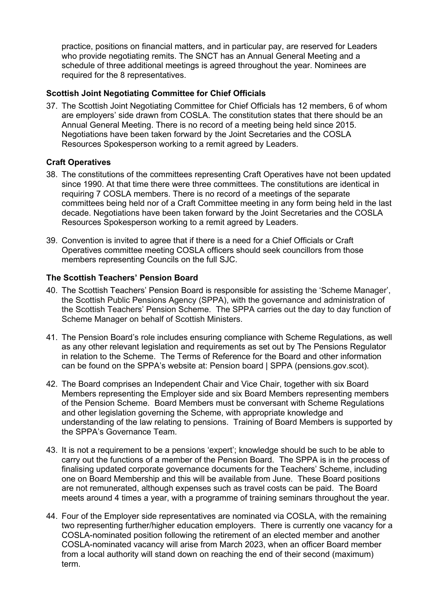practice, positions on financial matters, and in particular pay, are reserved for Leaders who provide negotiating remits. The SNCT has an Annual General Meeting and a schedule of three additional meetings is agreed throughout the year. Nominees are required for the 8 representatives.

## **Scottish Joint Negotiating Committee for Chief Officials**

37. The Scottish Joint Negotiating Committee for Chief Officials has 12 members, 6 of whom are employers' side drawn from COSLA. The constitution states that there should be an Annual General Meeting. There is no record of a meeting being held since 2015. Negotiations have been taken forward by the Joint Secretaries and the COSLA Resources Spokesperson working to a remit agreed by Leaders.

### **Craft Operatives**

- 38. The constitutions of the committees representing Craft Operatives have not been updated since 1990. At that time there were three committees. The constitutions are identical in requiring 7 COSLA members. There is no record of a meetings of the separate committees being held nor of a Craft Committee meeting in any form being held in the last decade. Negotiations have been taken forward by the Joint Secretaries and the COSLA Resources Spokesperson working to a remit agreed by Leaders.
- 39. Convention is invited to agree that if there is a need for a Chief Officials or Craft Operatives committee meeting COSLA officers should seek councillors from those members representing Councils on the full SJC.

#### **The Scottish Teachers' Pension Board**

- 40. The Scottish Teachers' Pension Board is responsible for assisting the 'Scheme Manager', the Scottish Public Pensions Agency (SPPA), with the governance and administration of the Scottish Teachers' Pension Scheme. The SPPA carries out the day to day function of Scheme Manager on behalf of Scottish Ministers.
- 41. The Pension Board's role includes ensuring compliance with Scheme Regulations, as well as any other relevant legislation and requirements as set out by The Pensions Regulator in relation to the Scheme. The Terms of Reference for the Board and other information can be found on the SPPA's website at: Pension board [| SPPA \(pensions.gov.scot\).](https://pensions.gov.scot/teachers/scheme-governance-and-legislation/pension-board)
- 42. The Board comprises an Independent Chair and Vice Chair, together with six Board Members representing the Employer side and six Board Members representing members of the Pension Scheme. Board Members must be conversant with Scheme Regulations and other legislation governing the Scheme, with appropriate knowledge and understanding of the law relating to pensions. Training of Board Members is supported by the SPPA's Governance Team.
- 43. It is not a requirement to be a pensions 'expert'; knowledge should be such to be able to carry out the functions of a member of the Pension Board. The SPPA is in the process of finalising updated corporate governance documents for the Teachers' Scheme, including one on Board Membership and this will be available from June. These Board positions are not remunerated, although expenses such as travel costs can be paid. The Board meets around 4 times a year, with a programme of training seminars throughout the year.
- 44. Four of the Employer side representatives are nominated via COSLA, with the remaining two representing further/higher education employers. There is currently one vacancy for a COSLA-nominated position following the retirement of an elected member and another COSLA-nominated vacancy will arise from March 2023, when an officer Board member from a local authority will stand down on reaching the end of their second (maximum) term.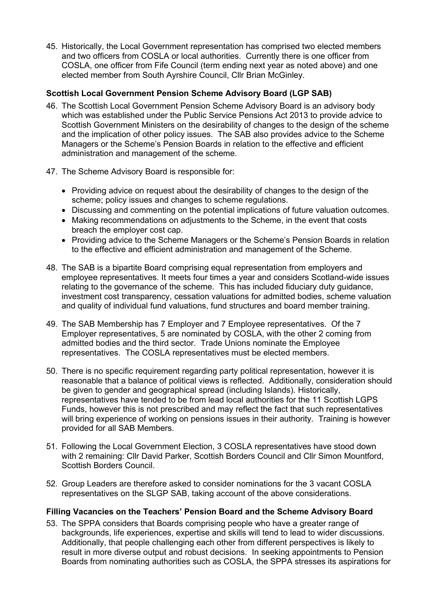45. Historically, the Local Government representation has comprised two elected members and two officers from COSLA or local authorities. Currently there is one officer from COSLA, one officer from Fife Council (term ending next year as noted above) and one elected member from South Ayrshire Council, Cllr Brian McGinley.

### **Scottish Local Government Pension Scheme Advisory Board (LGP SAB)**

- 46. The Scottish Local Government Pension Scheme Advisory Board is an advisory body which was established under the Public Service Pensions Act 2013 to provide advice to Scottish Government Ministers on the desirability of changes to the design of the scheme and the implication of other policy issues. The SAB also provides advice to the Scheme Managers or the Scheme's Pension Boards in relation to the effective and efficient administration and management of the scheme.
- 47. The Scheme Advisory Board is responsible for:
	- Providing advice on request about the desirability of changes to the design of the scheme; policy issues and changes to scheme regulations.
	- Discussing and commenting on the potential implications of future valuation outcomes.
	- Making recommendations on adjustments to the Scheme, in the event that costs breach the employer cost cap.
	- Providing advice to the Scheme Managers or the Scheme's Pension Boards in relation to the effective and efficient administration and management of the Scheme.
- 48. The SAB is a bipartite Board comprising equal representation from employers and employee representatives. It meets four times a year and considers Scotland-wide issues relating to the governance of the scheme. This has included fiduciary duty guidance, investment cost transparency, cessation valuations for admitted bodies, scheme valuation and quality of individual fund valuations, fund structures and board member training.
- 49. The SAB Membership has 7 Employer and 7 Employee representatives. Of the 7 Employer representatives, 5 are nominated by COSLA, with the other 2 coming from admitted bodies and the third sector. Trade Unions nominate the Employee representatives. The COSLA representatives must be elected members.
- 50. There is no specific requirement regarding party political representation, however it is reasonable that a balance of political views is reflected. Additionally, consideration should be given to gender and geographical spread (including Islands). Historically, representatives have tended to be from lead local authorities for the 11 Scottish LGPS Funds, however this is not prescribed and may reflect the fact that such representatives will bring experience of working on pensions issues in their authority. Training is however provided for all SAB Members.
- 51. Following the Local Government Election, 3 COSLA representatives have stood down with 2 remaining: Cllr David Parker, Scottish Borders Council and Cllr Simon Mountford, Scottish Borders Council.
- 52. Group Leaders are therefore asked to consider nominations for the 3 vacant COSLA representatives on the SLGP SAB, taking account of the above considerations.

# **Filling Vacancies on the Teachers' Pension Board and the Scheme Advisory Board**

53. The SPPA considers that Boards comprising people who have a greater range of backgrounds, life experiences, expertise and skills will tend to lead to wider discussions. Additionally, that people challenging each other from different perspectives is likely to result in more diverse output and robust decisions. In seeking appointments to Pension Boards from nominating authorities such as COSLA, the SPPA stresses its aspirations for